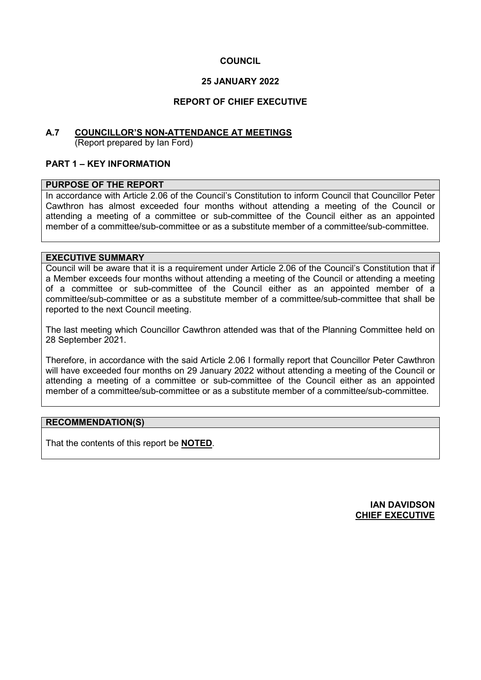## **COUNCIL**

### **25 JANUARY 2022**

### **REPORT OF CHIEF EXECUTIVE**

## **A.7 COUNCILLOR'S NON-ATTENDANCE AT MEETINGS**

(Report prepared by Ian Ford)

### **PART 1 – KEY INFORMATION**

#### **PURPOSE OF THE REPORT**

In accordance with Article 2.06 of the Council's Constitution to inform Council that Councillor Peter Cawthron has almost exceeded four months without attending a meeting of the Council or attending a meeting of a committee or sub-committee of the Council either as an appointed member of a committee/sub-committee or as a substitute member of a committee/sub-committee.

#### **EXECUTIVE SUMMARY**

Council will be aware that it is a requirement under Article 2.06 of the Council's Constitution that if a Member exceeds four months without attending a meeting of the Council or attending a meeting of a committee or sub-committee of the Council either as an appointed member of a committee/sub-committee or as a substitute member of a committee/sub-committee that shall be reported to the next Council meeting.

The last meeting which Councillor Cawthron attended was that of the Planning Committee held on 28 September 2021.

Therefore, in accordance with the said Article 2.06 I formally report that Councillor Peter Cawthron will have exceeded four months on 29 January 2022 without attending a meeting of the Council or attending a meeting of a committee or sub-committee of the Council either as an appointed member of a committee/sub-committee or as a substitute member of a committee/sub-committee.

#### **RECOMMENDATION(S)**

That the contents of this report be **NOTED**.

**IAN DAVIDSON CHIEF EXECUTIVE**